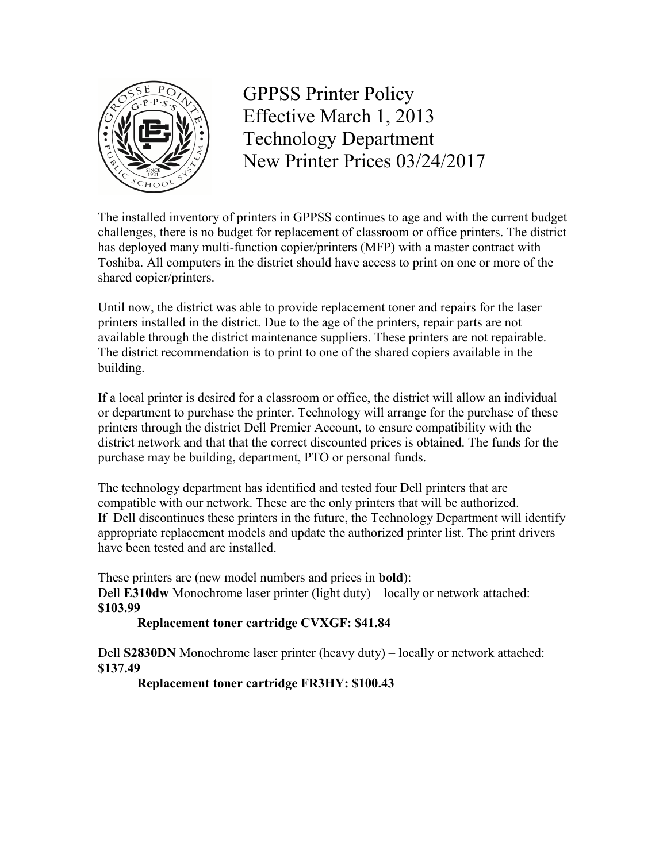

GPPSS Printer Policy Effective March 1, 2013 Technology Department New Printer Prices 03/24/2017

The installed inventory of printers in GPPSS continues to age and with the current budget challenges, there is no budget for replacement of classroom or office printers. The district has deployed many multi-function copier/printers (MFP) with a master contract with Toshiba. All computers in the district should have access to print on one or more of the shared copier/printers.

Until now, the district was able to provide replacement toner and repairs for the laser printers installed in the district. Due to the age of the printers, repair parts are not available through the district maintenance suppliers. These printers are not repairable. The district recommendation is to print to one of the shared copiers available in the building.

If a local printer is desired for a classroom or office, the district will allow an individual or department to purchase the printer. Technology will arrange for the purchase of these printers through the district Dell Premier Account, to ensure compatibility with the district network and that that the correct discounted prices is obtained. The funds for the purchase may be building, department, PTO or personal funds.

The technology department has identified and tested four Dell printers that are compatible with our network. These are the only printers that will be authorized. If Dell discontinues these printers in the future, the Technology Department will identify appropriate replacement models and update the authorized printer list. The print drivers have been tested and are installed.

These printers are (new model numbers and prices in **bold**): Dell **E310dw** Monochrome laser printer (light duty) – locally or network attached: **\$103.99**

## **Replacement toner cartridge CVXGF: \$41.84**

Dell **S2830DN** Monochrome laser printer (heavy duty) – locally or network attached: **\$137.49**

## **Replacement toner cartridge FR3HY: \$100.43**